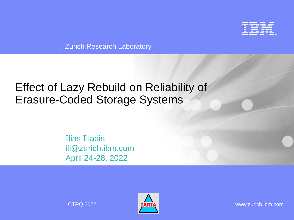

**Zurich Research Laboratory** 

# Effect of Lazy Rebuild on Reliability of Erasure-Coded Storage Systems

Ilias Iliadis ili@zurich.ibm.com April 24-28, 2022



CTRQ 2022 www.zurich.ibm.com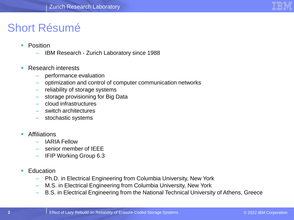

### Short Résumé

- Position
	- IBM Research Zurich Laboratory since 1988
- Research interests
	- performance evaluation
	- optimization and control of computer communication networks
	- reliability of storage systems
	- storage provisioning for Big Data
	- cloud infrastructures
	- switch architectures
	- stochastic systems
- Affiliations
	- IARIA Fellow
	- senior member of IEEE
	- IFIP Working Group 6.3
- Education
	- Ph.D. in Electrical Engineering from Columbia University, New York
	- M.S. in Electrical Engineering from Columbia University, New York
	- B.S. in Electrical Engineering from the National Technical University of Athens, Greece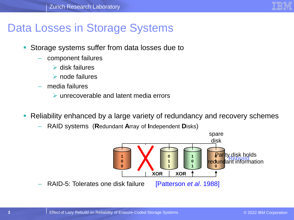

# Data Losses in Storage Systems

- Storage systems suffer from data losses due to
	- component failures
		- ➢ disk failures
		- ➢ node failures
	- media failures
		- ➢ unrecoverable and latent media errors
- Reliability enhanced by a large variety of redundancy and recovery schemes
	- RAID systems (**R**edundant **A**rray of **I**ndependent **D**isks)

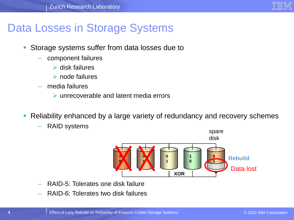

# Data Losses in Storage Systems

- Storage systems suffer from data losses due to
	- component failures
		- ➢ disk failures
		- ➢ node failures
	- media failures
		- ➢ unrecoverable and latent media errors
- Reliability enhanced by a large variety of redundancy and recovery schemes
	- RAID systems



- RAID-5: Tolerates one disk failure
- RAID-6: Tolerates two disk failures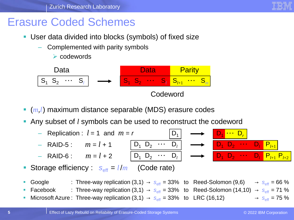

### Erasure Coded Schemes

- User data divided into blocks (symbols) of fixed size
	- Complemented with parity symbols

➢ codewords



- (*m,l*) maximum distance separable (MDS) erasure codes
- Any subset of *l* symbols can be used to reconstruct the codeword



Microsoft Azure : Three-way replication  $(3,1) \rightarrow s_{\text{eff}} = 33\%$  to LRC (16,12)  $\rightarrow s_{\text{eff}} = 75\%$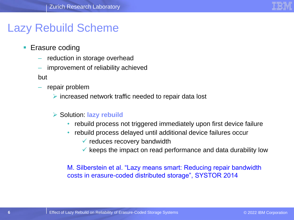

## Lazy Rebuild Scheme

- Erasure coding
	- reduction in storage overhead
	- improvement of reliability achieved

but

repair problem

➢ increased network traffic needed to repair data lost

#### ➢ Solution: **lazy rebuild**

- rebuild process not triggered immediately upon first device failure
- rebuild process delayed until additional device failures occur
	- $\checkmark$  reduces recovery bandwidth
	- $\checkmark$  keeps the impact on read performance and data durability low

M. Silberstein et al. "Lazy means smart: Reducing repair bandwidth costs in erasure-coded distributed storage", SYSTOR 2014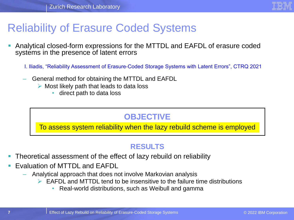

# Reliability of Erasure Coded Systems

- Analytical closed-form expressions for the MTTDL and EAFDL of erasure coded systems in the presence of latent errors
	- I. Iliadis, "Reliability Assessment of Erasure-Coded Storage Systems with Latent Errors", CTRQ 2021
	- General method for obtaining the MTTDL and EAFDL
		- $\triangleright$  Most likely path that leads to data loss
			- direct path to data loss

### **OBJECTIVE**

To assess system reliability when the lazy rebuild scheme is employed

#### **RESULTS**

- Theoretical assessment of the effect of lazy rebuild on reliability
- **Evaluation of MTTDL and EAFDL** 
	- Analytical approach that does not involve Markovian analysis
		- $\triangleright$  EAFDL and MTTDL tend to be insensitive to the failure time distributions
			- Real-world distributions, such as Weibull and gamma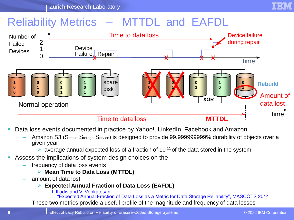

# Reliability Metrics – MTTDL and EAFDL



- Data loss events documented in practice by Yahoo!, LinkedIn, Facebook and Amazon
	- Amazon S3 (Simple Storage Service) is designed to provide 99.999999999% durability of objects over a given year
		- $\triangleright$  average annual expected loss of a fraction of 10<sup>-11</sup> of the data stored in the system
- Assess the implications of system design choices on the
	- frequency of data loss events
		- ➢ **Mean Time to Data Loss (MTTDL)**
	- amount of data lost
		- ➢ **Expected Annual Fraction of Data Loss (EAFDL)**
			- I. Iliadis and V. Venkatesan,

"Expected Annual Fraction of Data Loss as a Metric for Data Storage Reliability", MASCOTS 2014

– These two metrics provide a useful profile of the magnitude and frequency of data losses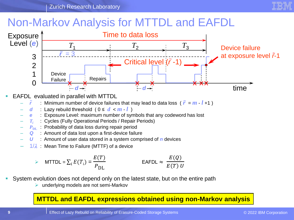

# Non-Markov Analysis for MTTDL and EAFDL



- EAFDL evaluated in parallel with MTTDL
	- $\tilde{r}$  : Minimum number of device failures that may lead to data loss ( $\tilde{r} = m l + 1$ )
	- : Lazy rebuild threshold (  $0 \le d < m l$  )
	- *e* : Exposure Level: maximum number of symbols that any codeword has lost
	- *T<sup>i</sup>* : Cycles (Fully Operational Periods / Repair Periods)
	- **P**<sub>DL</sub> : Probability of data loss during repair period
	- : Amount of data lost upon a first-device failure
	- : Amount of user data stored in a system comprised of *n* devices
	- $1/\lambda$  . Mean Time to Failure (MTTF) of a device

$$
\triangleright \quad \text{MTTDL} = \sum_{i} E(T_i) = \frac{E(T)}{P_{\text{DL}}} \qquad \qquad \text{EAFDL} \approx \frac{E(Q)}{E(T) \text{ U}}
$$

- System evolution does not depend only on the latest state, but on the entire path
	- $\triangleright$  underlying models are not semi-Markov

#### **MTTDL and EAFDL expressions obtained using non-Markov analysis**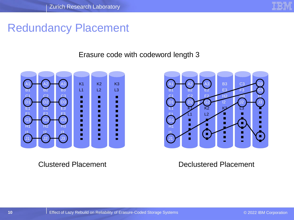

## Redundancy Placement

#### Erasure code with codeword length 3



Clustered Placement



#### Declustered Placement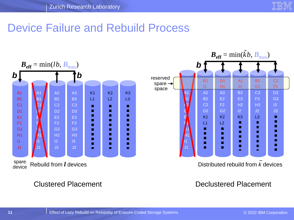

# Device Failure and Rebuild Process



Clustered Placement Declustered Placement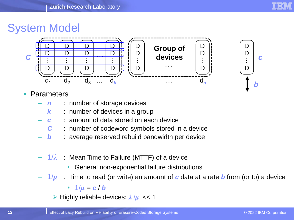

D D

D

…

*c*

*b*

# System Model



#### **Parameters**

- **n** : number of storage devices
- **k** : number of devices in a group
- *c* : amount of data stored on each device
- *C* : number of codeword symbols stored in a device
- *b* : average reserved rebuild bandwidth per device
- $-1/\lambda$  : Mean Time to Failure (MTTF) of a device
	- General non-exponential failure distributions
- $-$  1/ $\mu$  : Time to read (or write) an amount of c data at a rate b from (or to) a device

•  $1/\mu = c/b$ 

 $\triangleright$  Highly reliable devices:  $\lambda/\mu \ll 1$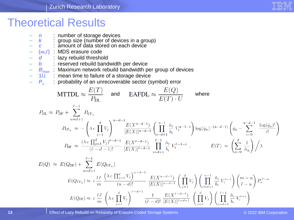

# Theoretical Results

– *n* : number of storage devices – *k* : group size (number of devices in a group) – *c* : amount of data stored on each device – **(***m,l***)** : MDS erasure code – *d* : lazy rebuild threshold – *b* : reserved rebuild bandwidth per device – *B***max** : Maximum network rebuild bandwidth per group of devices – **1/** : mean time to failure of a storage device – *P<sup>s</sup>* : probability of an unrecoverable sector (symbol) error and where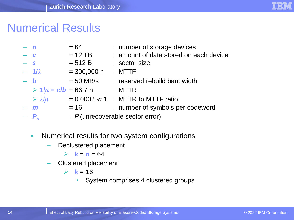

# Numerical Results

| $- n$ |                                          | $= 64$                          | : number of storage devices            |
|-------|------------------------------------------|---------------------------------|----------------------------------------|
| $ c$  |                                          | $= 12$ TB                       | : amount of data stored on each device |
| $- s$ |                                          | $= 512 B$                       | : sector size                          |
|       | $-1/\lambda$                             | $= 300,000 h$                   | $:$ MTTF                               |
| $- b$ |                                          | $= 50$ MB/s                     | : reserved rebuild bandwidth           |
|       | $\triangleright$ 1/ $\mu$ = c/b = 66.7 h |                                 | : MTTR                                 |
|       | $\triangleright$ $\lambda/\mu$           |                                 | $= 0.0002 \ll 1$ : MTTR to MTTF ratio  |
|       | $-$ m                                    | $= 16$                          | : number of symbols per codeword       |
|       |                                          | : P(unrecoverable sector error) |                                        |

- **E** Numerical results for two system configurations
	- Declustered placement

 $\triangleright$  **k** = **n** = 64

– Clustered placement

 $\triangleright$   $k = 16$ 

• System comprises 4 clustered groups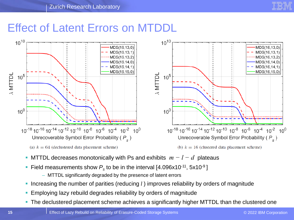

# Effect of Latent Errors on MTDDL





- MTTDL decreases monotonically with Ps and exhibits  $m-l-d$  plateaus
- Field measurements show  $P_s$  to be in the interval [4.096x10<sup>-11</sup>, 5x10<sup>-9</sup>]
	- MTTDL significantly degraded by the presence of latent errors
- **Increasing the number of parities (reducing** *l***) improves reliability by orders of magnitude**
- Employing lazy rebuild degrades reliability by orders of magnitude
- **The declustered placement scheme achieves a significantly higher MTTDL than the clustered one**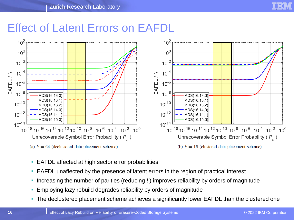

### Effect of Latent Errors on EAFDL



- EAFDL affected at high sector error probabilities
- EAFDL unaffected by the presence of latent errors in the region of practical interest
- Increasing the number of parities (reducing *l*) improves reliability by orders of magnitude
- **Employing lazy rebuild degrades reliability by orders of magnitude**
- **The declustered placement scheme achieves a significantly lower EAFDL than the clustered one**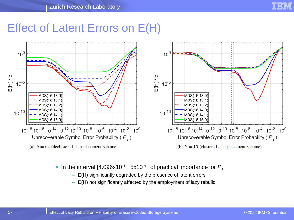# Effect of Latent Errors on E(H)



- **Example 1** In the interval [4.096x10<sup>-11</sup>, 5x10<sup>-9</sup>] of practical importance for  $P_s$ 
	- E(H) significantly degraded by the presence of latent errors
	- E(H) not significantly affected by the employment of lazy rebuild